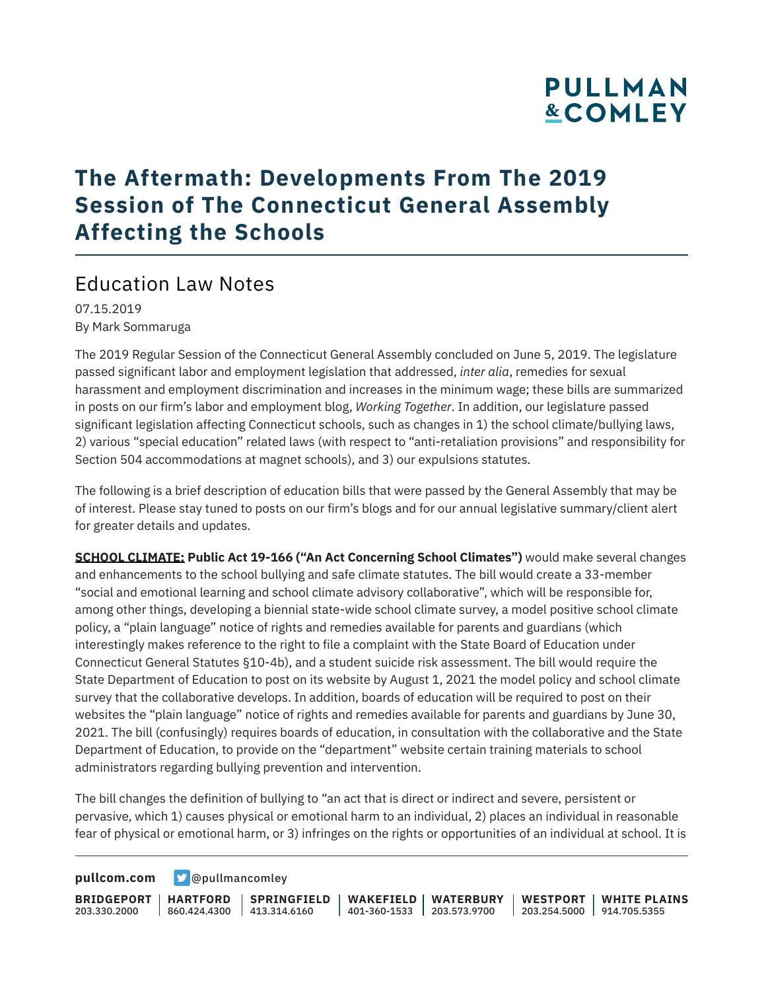### **The Aftermath: Developments From The 2019 Session of The Connecticut General Assembly Affecting the Schools**

### Education Law Notes

07.15.2019 By Mark Sommaruga

The 2019 Regular Session of the Connecticut General Assembly concluded on June 5, 2019. The legislature passed significant labor and employment legislation that addressed, *inter alia*, remedies for sexual harassment and employment discrimination and increases in the minimum wage; these bills are summarized in posts on our firm's labor and employment blog, *Working Together*. In addition, our legislature passed significant legislation affecting Connecticut schools, such as changes in 1) the school climate/bullying laws, 2) various "special education" related laws (with respect to "anti-retaliation provisions" and responsibility for Section 504 accommodations at magnet schools), and 3) our expulsions statutes.

The following is a brief description of education bills that were passed by the General Assembly that may be of interest. Please stay tuned to posts on our firm's blogs and for our annual legislative summary/client alert for greater details and updates.

**SCHOOL CLIMATE: Public Act 19-166 ("An Act Concerning School Climates")** would make several changes and enhancements to the school bullying and safe climate statutes. The bill would create a 33-member "social and emotional learning and school climate advisory collaborative", which will be responsible for, among other things, developing a biennial state-wide school climate survey, a model positive school climate policy, a "plain language" notice of rights and remedies available for parents and guardians (which interestingly makes reference to the right to file a complaint with the State Board of Education under Connecticut General Statutes §10-4b), and a student suicide risk assessment. The bill would require the State Department of Education to post on its website by August 1, 2021 the model policy and school climate survey that the collaborative develops. In addition, boards of education will be required to post on their websites the "plain language" notice of rights and remedies available for parents and guardians by June 30, 2021. The bill (confusingly) requires boards of education, in consultation with the collaborative and the State Department of Education, to provide on the "department" website certain training materials to school administrators regarding bullying prevention and intervention.

The bill changes the definition of bullying to "an act that is direct or indirect and severe, persistent or pervasive, which 1) causes physical or emotional harm to an individual, 2) places an individual in reasonable fear of physical or emotional harm, or 3) infringes on the rights or opportunities of an individual at school. It is

**[pullcom.com](https://www.pullcom.com) g** [@pullmancomley](https://twitter.com/PullmanComley)

**BRIDGEPORT HARTFORD** 203.330.2000 860.424.4300 413.314.6160 **SPRINGFIELD WAKEFIELD WATERBURY** 401-360-1533 203.573.9700 **WESTPORT WHITE PLAINS** 203.254.5000 914.705.5355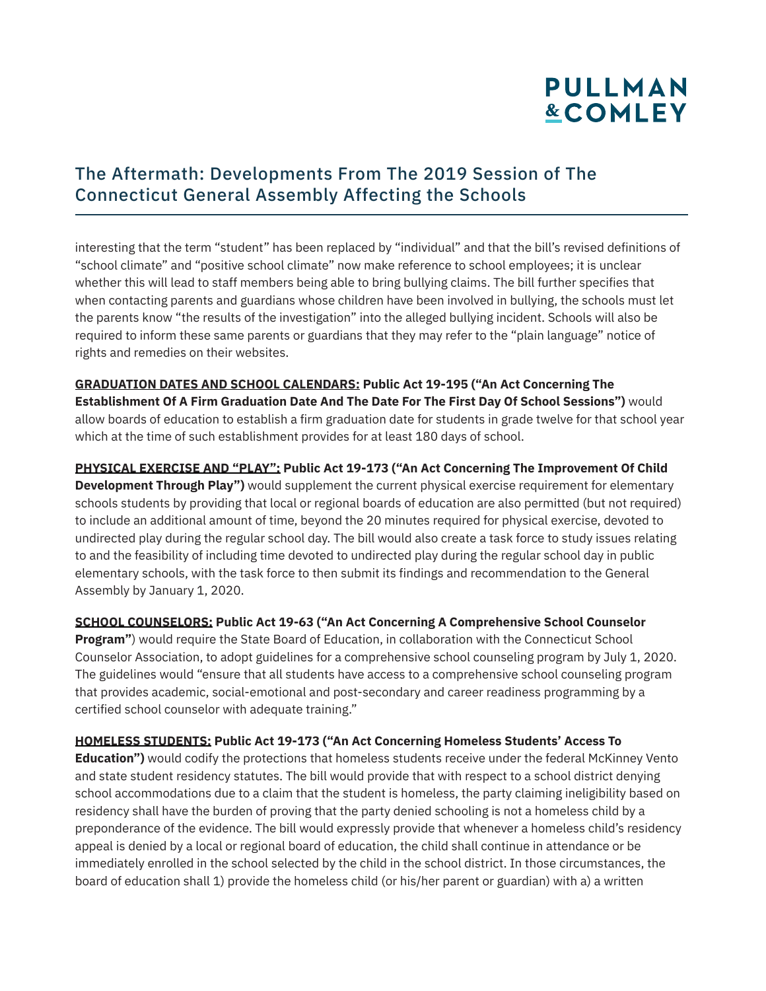### The Aftermath: Developments From The 2019 Session of The Connecticut General Assembly Affecting the Schools

interesting that the term "student" has been replaced by "individual" and that the bill's revised definitions of "school climate" and "positive school climate" now make reference to school employees; it is unclear whether this will lead to staff members being able to bring bullying claims. The bill further specifies that when contacting parents and guardians whose children have been involved in bullying, the schools must let the parents know "the results of the investigation" into the alleged bullying incident. Schools will also be required to inform these same parents or guardians that they may refer to the "plain language" notice of rights and remedies on their websites.

**GRADUATION DATES AND SCHOOL CALENDARS: Public Act 19-195 ("An Act Concerning The Establishment Of A Firm Graduation Date And The Date For The First Day Of School Sessions")** would allow boards of education to establish a firm graduation date for students in grade twelve for that school year which at the time of such establishment provides for at least 180 days of school.

**PHYSICAL EXERCISE AND "PLAY": Public Act 19-173 ("An Act Concerning The Improvement Of Child Development Through Play")** would supplement the current physical exercise requirement for elementary schools students by providing that local or regional boards of education are also permitted (but not required) to include an additional amount of time, beyond the 20 minutes required for physical exercise, devoted to undirected play during the regular school day. The bill would also create a task force to study issues relating to and the feasibility of including time devoted to undirected play during the regular school day in public elementary schools, with the task force to then submit its findings and recommendation to the General Assembly by January 1, 2020.

**SCHOOL COUNSELORS: Public Act 19-63 ("An Act Concerning A Comprehensive School Counselor**

Program") would require the State Board of Education, in collaboration with the Connecticut School Counselor Association, to adopt guidelines for a comprehensive school counseling program by July 1, 2020. The guidelines would "ensure that all students have access to a comprehensive school counseling program that provides academic, social-emotional and post-secondary and career readiness programming by a certified school counselor with adequate training."

#### **HOMELESS STUDENTS: Public Act 19-173 ("An Act Concerning Homeless Students' Access To**

**Education")** would codify the protections that homeless students receive under the federal McKinney Vento and state student residency statutes. The bill would provide that with respect to a school district denying school accommodations due to a claim that the student is homeless, the party claiming ineligibility based on residency shall have the burden of proving that the party denied schooling is not a homeless child by a preponderance of the evidence. The bill would expressly provide that whenever a homeless child's residency appeal is denied by a local or regional board of education, the child shall continue in attendance or be immediately enrolled in the school selected by the child in the school district. In those circumstances, the board of education shall 1) provide the homeless child (or his/her parent or guardian) with a) a written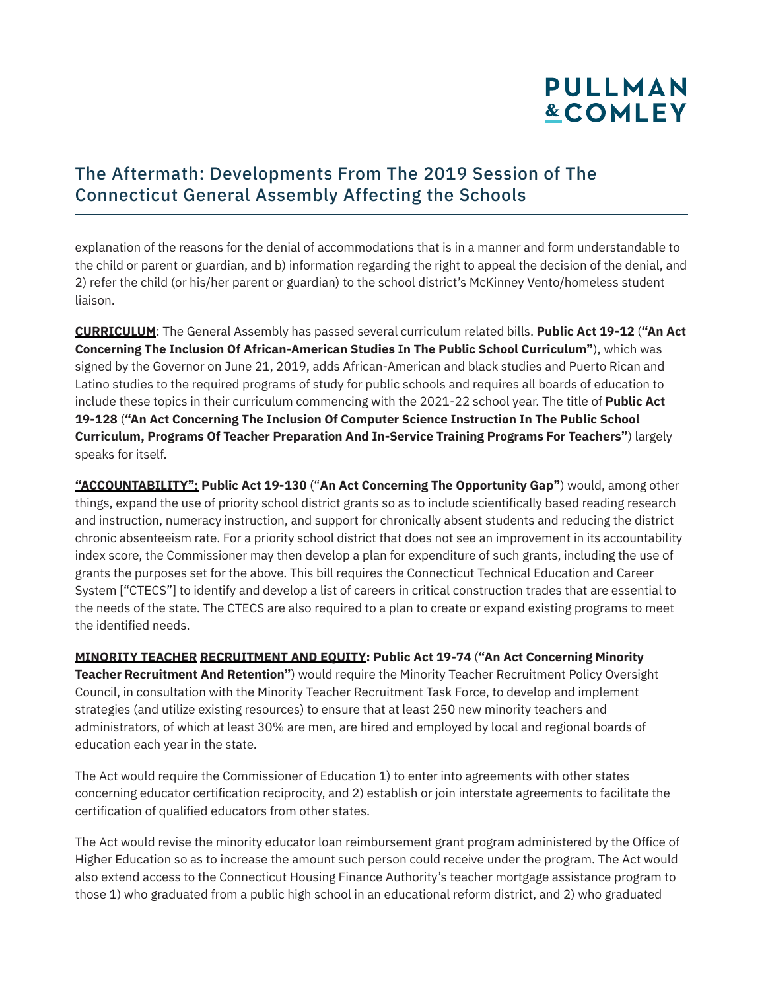### The Aftermath: Developments From The 2019 Session of The Connecticut General Assembly Affecting the Schools

explanation of the reasons for the denial of accommodations that is in a manner and form understandable to the child or parent or guardian, and b) information regarding the right to appeal the decision of the denial, and 2) refer the child (or his/her parent or guardian) to the school district's McKinney Vento/homeless student liaison.

**CURRICULUM**: The General Assembly has passed several curriculum related bills. **Public Act 19-12** (**"An Act Concerning The Inclusion Of African-American Studies In The Public School Curriculum"**), which was signed by the Governor on June 21, 2019, adds African-American and black studies and Puerto Rican and Latino studies to the required programs of study for public schools and requires all boards of education to include these topics in their curriculum commencing with the 2021-22 school year. The title of **Public Act 19-128** (**"An Act Concerning The Inclusion Of Computer Science Instruction In The Public School Curriculum, Programs Of Teacher Preparation And In-Service Training Programs For Teachers"**) largely speaks for itself.

**"ACCOUNTABILITY": Public Act 19-130** ("**An Act Concerning The Opportunity Gap"**) would, among other things, expand the use of priority school district grants so as to include scientifically based reading research and instruction, numeracy instruction, and support for chronically absent students and reducing the district chronic absenteeism rate. For a priority school district that does not see an improvement in its accountability index score, the Commissioner may then develop a plan for expenditure of such grants, including the use of grants the purposes set for the above. This bill requires the Connecticut Technical Education and Career System ["CTECS"] to identify and develop a list of careers in critical construction trades that are essential to the needs of the state. The CTECS are also required to a plan to create or expand existing programs to meet the identified needs.

**MINORITY TEACHER RECRUITMENT AND EQUITY: Public Act 19-74** (**"An Act Concerning Minority Teacher Recruitment And Retention"**) would require the Minority Teacher Recruitment Policy Oversight Council, in consultation with the Minority Teacher Recruitment Task Force, to develop and implement strategies (and utilize existing resources) to ensure that at least 250 new minority teachers and administrators, of which at least 30% are men, are hired and employed by local and regional boards of education each year in the state.

The Act would require the Commissioner of Education 1) to enter into agreements with other states concerning educator certification reciprocity, and 2) establish or join interstate agreements to facilitate the certification of qualified educators from other states.

The Act would revise the minority educator loan reimbursement grant program administered by the Office of Higher Education so as to increase the amount such person could receive under the program. The Act would also extend access to the Connecticut Housing Finance Authority's teacher mortgage assistance program to those 1) who graduated from a public high school in an educational reform district, and 2) who graduated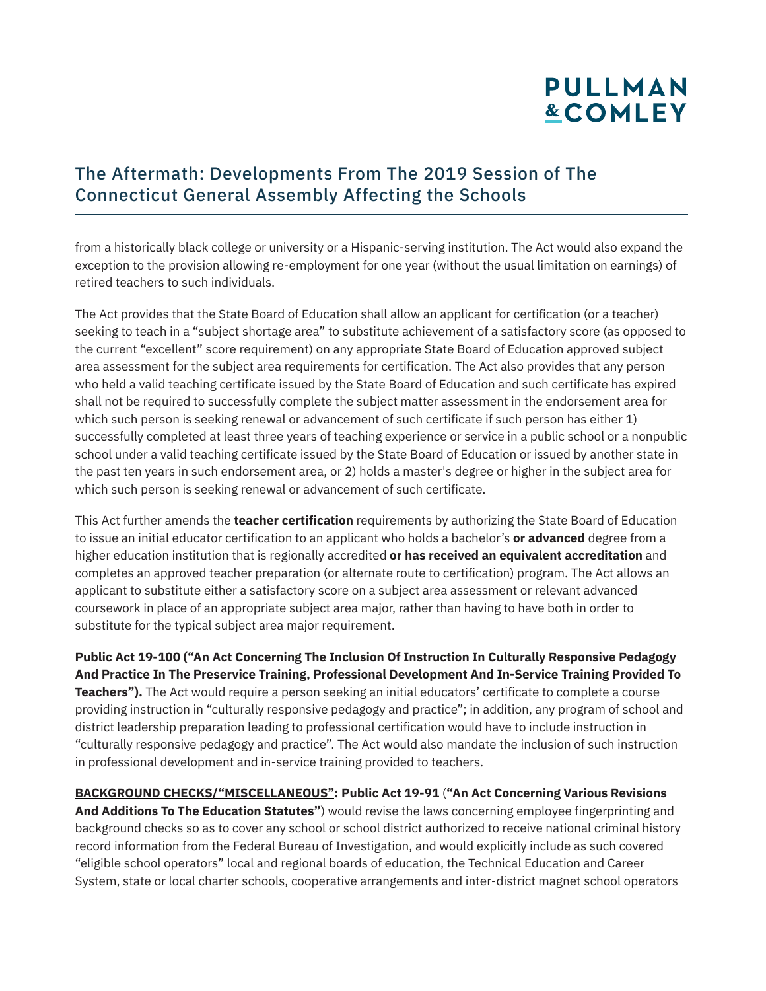### The Aftermath: Developments From The 2019 Session of The Connecticut General Assembly Affecting the Schools

from a historically black college or university or a Hispanic-serving institution. The Act would also expand the exception to the provision allowing re-employment for one year (without the usual limitation on earnings) of retired teachers to such individuals.

The Act provides that the State Board of Education shall allow an applicant for certification (or a teacher) seeking to teach in a "subject shortage area" to substitute achievement of a satisfactory score (as opposed to the current "excellent" score requirement) on any appropriate State Board of Education approved subject area assessment for the subject area requirements for certification. The Act also provides that any person who held a valid teaching certificate issued by the State Board of Education and such certificate has expired shall not be required to successfully complete the subject matter assessment in the endorsement area for which such person is seeking renewal or advancement of such certificate if such person has either 1) successfully completed at least three years of teaching experience or service in a public school or a nonpublic school under a valid teaching certificate issued by the State Board of Education or issued by another state in the past ten years in such endorsement area, or 2) holds a master's degree or higher in the subject area for which such person is seeking renewal or advancement of such certificate.

This Act further amends the **teacher certification** requirements by authorizing the State Board of Education to issue an initial educator certification to an applicant who holds a bachelor's **or advanced** degree from a higher education institution that is regionally accredited **or has received an equivalent accreditation** and completes an approved teacher preparation (or alternate route to certification) program. The Act allows an applicant to substitute either a satisfactory score on a subject area assessment or relevant advanced coursework in place of an appropriate subject area major, rather than having to have both in order to substitute for the typical subject area major requirement.

**Public Act 19-100 ("An Act Concerning The Inclusion Of Instruction In Culturally Responsive Pedagogy And Practice In The Preservice Training, Professional Development And In-Service Training Provided To Teachers").** The Act would require a person seeking an initial educators' certificate to complete a course providing instruction in "culturally responsive pedagogy and practice"; in addition, any program of school and district leadership preparation leading to professional certification would have to include instruction in "culturally responsive pedagogy and practice". The Act would also mandate the inclusion of such instruction in professional development and in-service training provided to teachers.

**BACKGROUND CHECKS/"MISCELLANEOUS": Public Act 19-91** (**"An Act Concerning Various Revisions And Additions To The Education Statutes"**) would revise the laws concerning employee fingerprinting and background checks so as to cover any school or school district authorized to receive national criminal history record information from the Federal Bureau of Investigation, and would explicitly include as such covered "eligible school operators" local and regional boards of education, the Technical Education and Career System, state or local charter schools, cooperative arrangements and inter-district magnet school operators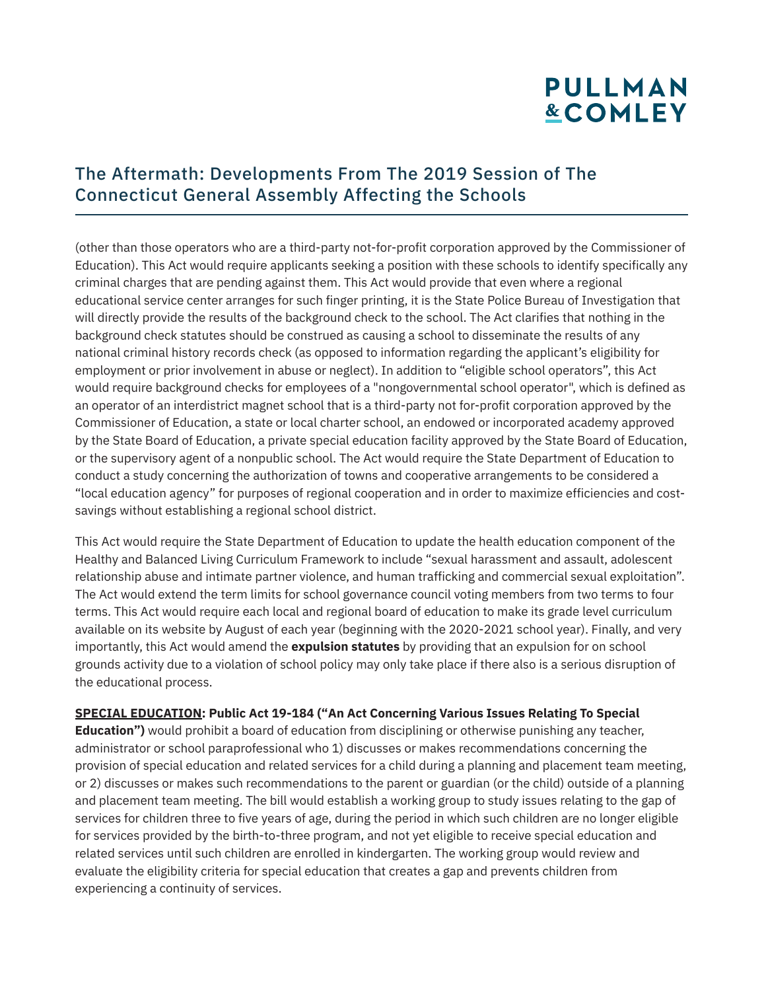#### The Aftermath: Developments From The 2019 Session of The Connecticut General Assembly Affecting the Schools

(other than those operators who are a third-party not-for-profit corporation approved by the Commissioner of Education). This Act would require applicants seeking a position with these schools to identify specifically any criminal charges that are pending against them. This Act would provide that even where a regional educational service center arranges for such finger printing, it is the State Police Bureau of Investigation that will directly provide the results of the background check to the school. The Act clarifies that nothing in the background check statutes should be construed as causing a school to disseminate the results of any national criminal history records check (as opposed to information regarding the applicant's eligibility for employment or prior involvement in abuse or neglect). In addition to "eligible school operators", this Act would require background checks for employees of a "nongovernmental school operator", which is defined as an operator of an interdistrict magnet school that is a third-party not for-profit corporation approved by the Commissioner of Education, a state or local charter school, an endowed or incorporated academy approved by the State Board of Education, a private special education facility approved by the State Board of Education, or the supervisory agent of a nonpublic school. The Act would require the State Department of Education to conduct a study concerning the authorization of towns and cooperative arrangements to be considered a "local education agency" for purposes of regional cooperation and in order to maximize efficiencies and costsavings without establishing a regional school district.

This Act would require the State Department of Education to update the health education component of the Healthy and Balanced Living Curriculum Framework to include "sexual harassment and assault, adolescent relationship abuse and intimate partner violence, and human trafficking and commercial sexual exploitation". The Act would extend the term limits for school governance council voting members from two terms to four terms. This Act would require each local and regional board of education to make its grade level curriculum available on its website by August of each year (beginning with the 2020-2021 school year). Finally, and very importantly, this Act would amend the **expulsion statutes** by providing that an expulsion for on school grounds activity due to a violation of school policy may only take place if there also is a serious disruption of the educational process.

#### **SPECIAL EDUCATION: Public Act 19-184 ("An Act Concerning Various Issues Relating To Special**

**Education")** would prohibit a board of education from disciplining or otherwise punishing any teacher, administrator or school paraprofessional who 1) discusses or makes recommendations concerning the provision of special education and related services for a child during a planning and placement team meeting, or 2) discusses or makes such recommendations to the parent or guardian (or the child) outside of a planning and placement team meeting. The bill would establish a working group to study issues relating to the gap of services for children three to five years of age, during the period in which such children are no longer eligible for services provided by the birth-to-three program, and not yet eligible to receive special education and related services until such children are enrolled in kindergarten. The working group would review and evaluate the eligibility criteria for special education that creates a gap and prevents children from experiencing a continuity of services.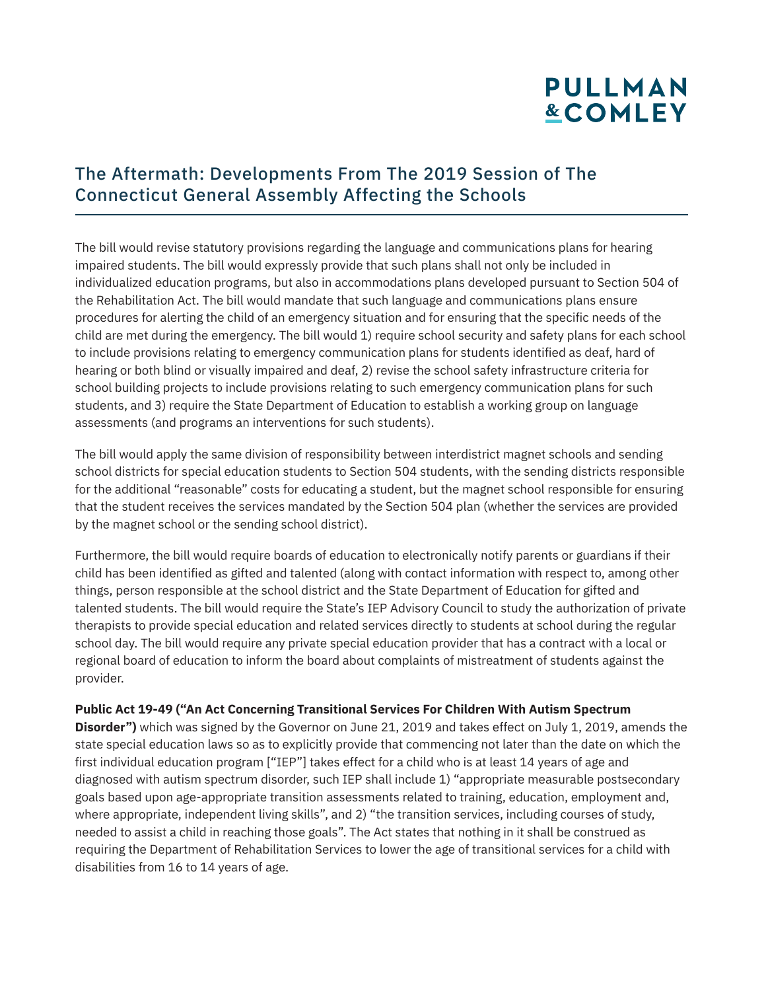### The Aftermath: Developments From The 2019 Session of The Connecticut General Assembly Affecting the Schools

The bill would revise statutory provisions regarding the language and communications plans for hearing impaired students. The bill would expressly provide that such plans shall not only be included in individualized education programs, but also in accommodations plans developed pursuant to Section 504 of the Rehabilitation Act. The bill would mandate that such language and communications plans ensure procedures for alerting the child of an emergency situation and for ensuring that the specific needs of the child are met during the emergency. The bill would 1) require school security and safety plans for each school to include provisions relating to emergency communication plans for students identified as deaf, hard of hearing or both blind or visually impaired and deaf, 2) revise the school safety infrastructure criteria for school building projects to include provisions relating to such emergency communication plans for such students, and 3) require the State Department of Education to establish a working group on language assessments (and programs an interventions for such students).

The bill would apply the same division of responsibility between interdistrict magnet schools and sending school districts for special education students to Section 504 students, with the sending districts responsible for the additional "reasonable" costs for educating a student, but the magnet school responsible for ensuring that the student receives the services mandated by the Section 504 plan (whether the services are provided by the magnet school or the sending school district).

Furthermore, the bill would require boards of education to electronically notify parents or guardians if their child has been identified as gifted and talented (along with contact information with respect to, among other things, person responsible at the school district and the State Department of Education for gifted and talented students. The bill would require the State's IEP Advisory Council to study the authorization of private therapists to provide special education and related services directly to students at school during the regular school day. The bill would require any private special education provider that has a contract with a local or regional board of education to inform the board about complaints of mistreatment of students against the provider.

#### **Public Act 19-49 ("An Act Concerning Transitional Services For Children With Autism Spectrum**

**Disorder")** which was signed by the Governor on June 21, 2019 and takes effect on July 1, 2019, amends the state special education laws so as to explicitly provide that commencing not later than the date on which the first individual education program ["IEP"] takes effect for a child who is at least 14 years of age and diagnosed with autism spectrum disorder, such IEP shall include 1) "appropriate measurable postsecondary goals based upon age-appropriate transition assessments related to training, education, employment and, where appropriate, independent living skills", and 2) "the transition services, including courses of study, needed to assist a child in reaching those goals". The Act states that nothing in it shall be construed as requiring the Department of Rehabilitation Services to lower the age of transitional services for a child with disabilities from 16 to 14 years of age.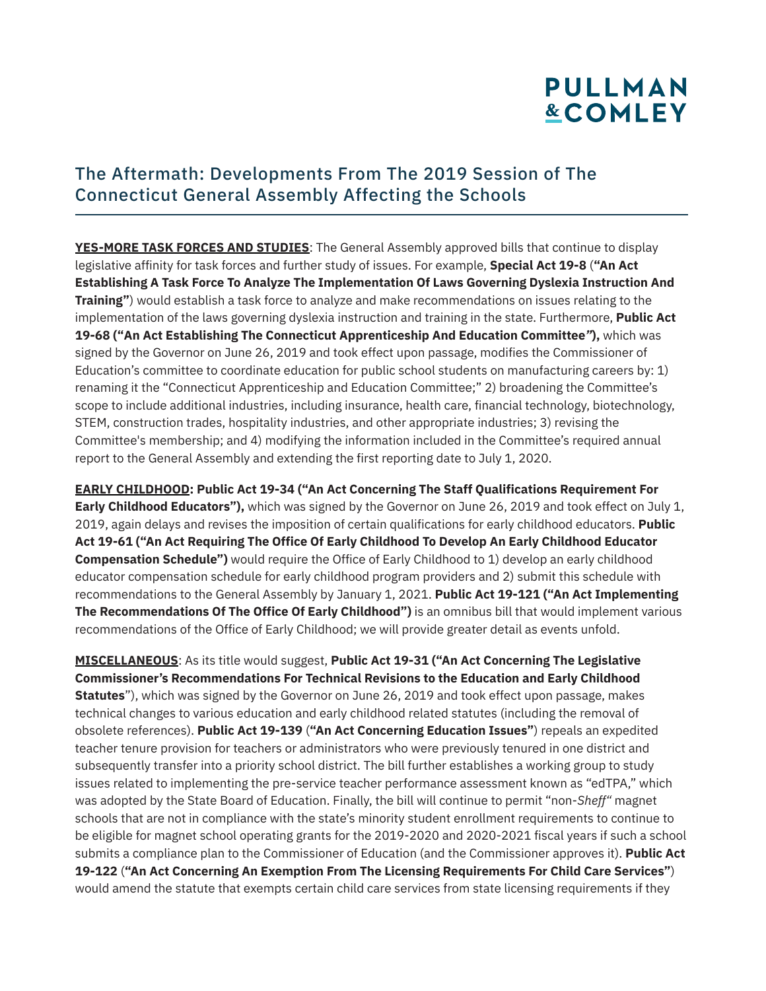#### The Aftermath: Developments From The 2019 Session of The Connecticut General Assembly Affecting the Schools

**YES-MORE TASK FORCES AND STUDIES**: The General Assembly approved bills that continue to display legislative affinity for task forces and further study of issues. For example, **Special Act 19-8** (**"An Act Establishing A Task Force To Analyze The Implementation Of Laws Governing Dyslexia Instruction And Training"**) would establish a task force to analyze and make recommendations on issues relating to the implementation of the laws governing dyslexia instruction and training in the state. Furthermore, **Public Act 19-68 ("An Act Establishing The Connecticut Apprenticeship And Education Committee***"***),** which was signed by the Governor on June 26, 2019 and took effect upon passage, modifies the Commissioner of Education's committee to coordinate education for public school students on manufacturing careers by: 1) renaming it the "Connecticut Apprenticeship and Education Committee;" 2) broadening the Committee's scope to include additional industries, including insurance, health care, financial technology, biotechnology, STEM, construction trades, hospitality industries, and other appropriate industries; 3) revising the Committee's membership; and 4) modifying the information included in the Committee's required annual report to the General Assembly and extending the first reporting date to July 1, 2020.

**EARLY CHILDHOOD: Public Act 19-34 ("An Act Concerning The Staff Qualifications Requirement For Early Childhood Educators"),** which was signed by the Governor on June 26, 2019 and took effect on July 1, 2019, again delays and revises the imposition of certain qualifications for early childhood educators. **Public Act 19-61 ("An Act Requiring The Office Of Early Childhood To Develop An Early Childhood Educator Compensation Schedule")** would require the Office of Early Childhood to 1) develop an early childhood educator compensation schedule for early childhood program providers and 2) submit this schedule with recommendations to the General Assembly by January 1, 2021. **Public Act 19-121 ("An Act Implementing The Recommendations Of The Office Of Early Childhood")** is an omnibus bill that would implement various recommendations of the Office of Early Childhood; we will provide greater detail as events unfold.

**MISCELLANEOUS**: As its title would suggest, **Public Act 19-31 ("An Act Concerning The Legislative Commissioner's Recommendations For Technical Revisions to the Education and Early Childhood Statutes**"), which was signed by the Governor on June 26, 2019 and took effect upon passage, makes technical changes to various education and early childhood related statutes (including the removal of obsolete references). **Public Act 19-139** (**"An Act Concerning Education Issues"**) repeals an expedited teacher tenure provision for teachers or administrators who were previously tenured in one district and subsequently transfer into a priority school district. The bill further establishes a working group to study issues related to implementing the pre-service teacher performance assessment known as "edTPA," which was adopted by the State Board of Education. Finally, the bill will continue to permit "non-*Sheff"* magnet schools that are not in compliance with the state's minority student enrollment requirements to continue to be eligible for magnet school operating grants for the 2019-2020 and 2020-2021 fiscal years if such a school submits a compliance plan to the Commissioner of Education (and the Commissioner approves it). **Public Act 19-122** (**"An Act Concerning An Exemption From The Licensing Requirements For Child Care Services"**) would amend the statute that exempts certain child care services from state licensing requirements if they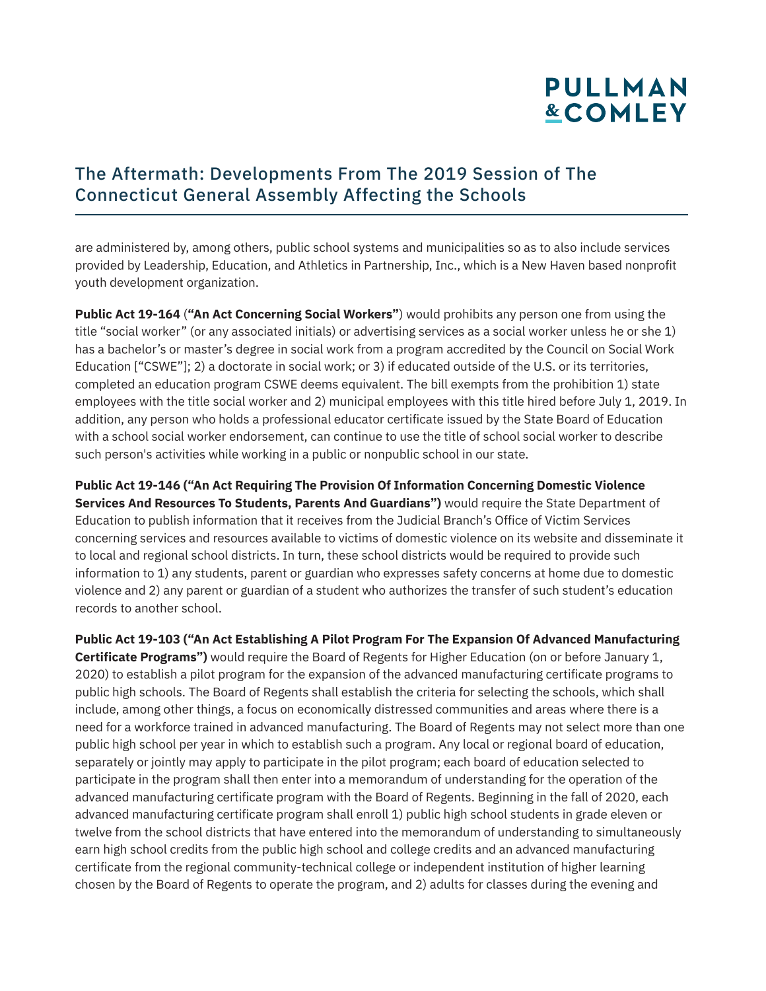### The Aftermath: Developments From The 2019 Session of The Connecticut General Assembly Affecting the Schools

are administered by, among others, public school systems and municipalities so as to also include services provided by Leadership, Education, and Athletics in Partnership, Inc., which is a New Haven based nonprofit youth development organization.

**Public Act 19-164** (**"An Act Concerning Social Workers"**) would prohibits any person one from using the title "social worker" (or any associated initials) or advertising services as a social worker unless he or she 1) has a bachelor's or master's degree in social work from a program accredited by the Council on Social Work Education ["CSWE"]; 2) a doctorate in social work; or 3) if educated outside of the U.S. or its territories, completed an education program CSWE deems equivalent. The bill exempts from the prohibition 1) state employees with the title social worker and 2) municipal employees with this title hired before July 1, 2019. In addition, any person who holds a professional educator certificate issued by the State Board of Education with a school social worker endorsement, can continue to use the title of school social worker to describe such person's activities while working in a public or nonpublic school in our state.

**Public Act 19-146 ("An Act Requiring The Provision Of Information Concerning Domestic Violence Services And Resources To Students, Parents And Guardians")** would require the State Department of Education to publish information that it receives from the Judicial Branch's Office of Victim Services concerning services and resources available to victims of domestic violence on its website and disseminate it to local and regional school districts. In turn, these school districts would be required to provide such information to 1) any students, parent or guardian who expresses safety concerns at home due to domestic violence and 2) any parent or guardian of a student who authorizes the transfer of such student's education records to another school.

**Public Act 19-103 ("An Act Establishing A Pilot Program For The Expansion Of Advanced Manufacturing Certificate Programs")** would require the Board of Regents for Higher Education (on or before January 1, 2020) to establish a pilot program for the expansion of the advanced manufacturing certificate programs to public high schools. The Board of Regents shall establish the criteria for selecting the schools, which shall include, among other things, a focus on economically distressed communities and areas where there is a need for a workforce trained in advanced manufacturing. The Board of Regents may not select more than one public high school per year in which to establish such a program. Any local or regional board of education, separately or jointly may apply to participate in the pilot program; each board of education selected to participate in the program shall then enter into a memorandum of understanding for the operation of the advanced manufacturing certificate program with the Board of Regents. Beginning in the fall of 2020, each advanced manufacturing certificate program shall enroll 1) public high school students in grade eleven or twelve from the school districts that have entered into the memorandum of understanding to simultaneously earn high school credits from the public high school and college credits and an advanced manufacturing certificate from the regional community-technical college or independent institution of higher learning chosen by the Board of Regents to operate the program, and 2) adults for classes during the evening and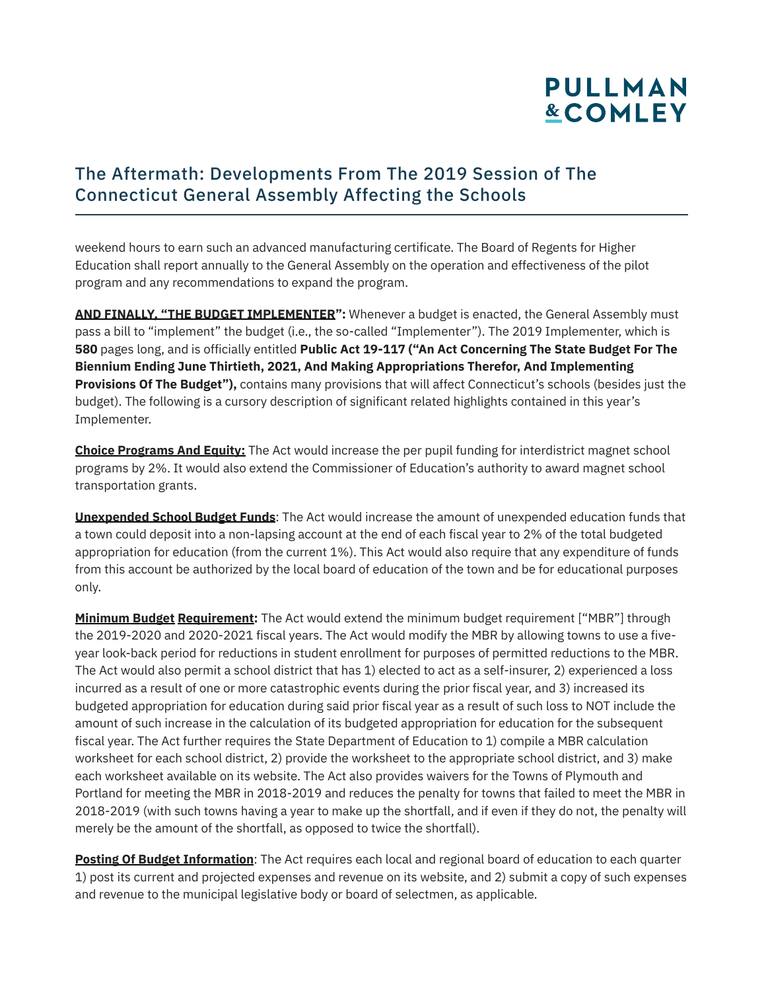### The Aftermath: Developments From The 2019 Session of The Connecticut General Assembly Affecting the Schools

weekend hours to earn such an advanced manufacturing certificate. The Board of Regents for Higher Education shall report annually to the General Assembly on the operation and effectiveness of the pilot program and any recommendations to expand the program.

**AND FINALLY, "THE BUDGET IMPLEMENTER":** Whenever a budget is enacted, the General Assembly must pass a bill to "implement" the budget (i.e., the so-called "Implementer"). The 2019 Implementer, which is **580** pages long, and is officially entitled **Public Act 19-117 ("An Act Concerning The State Budget For The Biennium Ending June Thirtieth, 2021, And Making Appropriations Therefor, And Implementing Provisions Of The Budget"),** contains many provisions that will affect Connecticut's schools (besides just the budget). The following is a cursory description of significant related highlights contained in this year's Implementer.

**Choice Programs And Equity:** The Act would increase the per pupil funding for interdistrict magnet school programs by 2%. It would also extend the Commissioner of Education's authority to award magnet school transportation grants.

**Unexpended School Budget Funds**: The Act would increase the amount of unexpended education funds that a town could deposit into a non-lapsing account at the end of each fiscal year to 2% of the total budgeted appropriation for education (from the current 1%). This Act would also require that any expenditure of funds from this account be authorized by the local board of education of the town and be for educational purposes only.

**Minimum Budget Requirement:** The Act would extend the minimum budget requirement ["MBR"] through the 2019-2020 and 2020-2021 fiscal years. The Act would modify the MBR by allowing towns to use a fiveyear look-back period for reductions in student enrollment for purposes of permitted reductions to the MBR. The Act would also permit a school district that has 1) elected to act as a self-insurer, 2) experienced a loss incurred as a result of one or more catastrophic events during the prior fiscal year, and 3) increased its budgeted appropriation for education during said prior fiscal year as a result of such loss to NOT include the amount of such increase in the calculation of its budgeted appropriation for education for the subsequent fiscal year. The Act further requires the State Department of Education to 1) compile a MBR calculation worksheet for each school district, 2) provide the worksheet to the appropriate school district, and 3) make each worksheet available on its website. The Act also provides waivers for the Towns of Plymouth and Portland for meeting the MBR in 2018-2019 and reduces the penalty for towns that failed to meet the MBR in 2018-2019 (with such towns having a year to make up the shortfall, and if even if they do not, the penalty will merely be the amount of the shortfall, as opposed to twice the shortfall).

**Posting Of Budget Information**: The Act requires each local and regional board of education to each quarter 1) post its current and projected expenses and revenue on its website, and 2) submit a copy of such expenses and revenue to the municipal legislative body or board of selectmen, as applicable.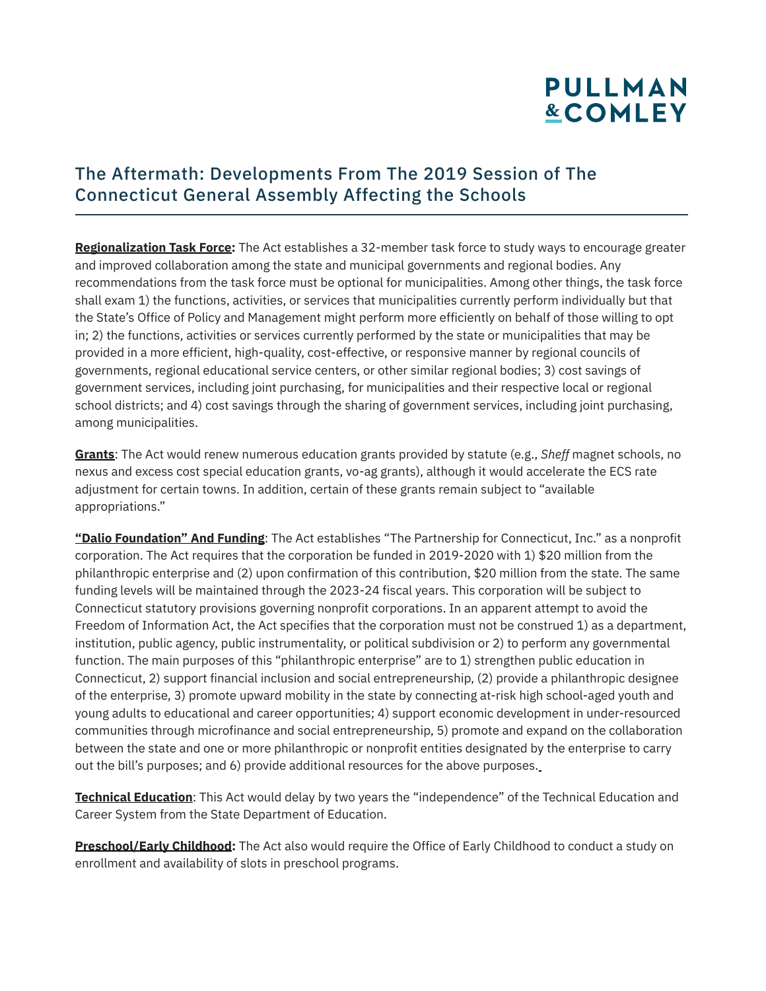#### The Aftermath: Developments From The 2019 Session of The Connecticut General Assembly Affecting the Schools

**Regionalization Task Force:** The Act establishes a 32-member task force to study ways to encourage greater and improved collaboration among the state and municipal governments and regional bodies. Any recommendations from the task force must be optional for municipalities. Among other things, the task force shall exam 1) the functions, activities, or services that municipalities currently perform individually but that the State's Office of Policy and Management might perform more efficiently on behalf of those willing to opt in; 2) the functions, activities or services currently performed by the state or municipalities that may be provided in a more efficient, high-quality, cost-effective, or responsive manner by regional councils of governments, regional educational service centers, or other similar regional bodies; 3) cost savings of government services, including joint purchasing, for municipalities and their respective local or regional school districts; and 4) cost savings through the sharing of government services, including joint purchasing, among municipalities.

**Grants**: The Act would renew numerous education grants provided by statute (e.g., *Sheff* magnet schools, no nexus and excess cost special education grants, vo-ag grants), although it would accelerate the ECS rate adjustment for certain towns. In addition, certain of these grants remain subject to "available appropriations."

**"Dalio Foundation" And Funding**: The Act establishes "The Partnership for Connecticut, Inc." as a nonprofit corporation. The Act requires that the corporation be funded in 2019-2020 with 1) \$20 million from the philanthropic enterprise and (2) upon confirmation of this contribution, \$20 million from the state. The same funding levels will be maintained through the 2023-24 fiscal years. This corporation will be subject to Connecticut statutory provisions governing nonprofit corporations. In an apparent attempt to avoid the Freedom of Information Act, the Act specifies that the corporation must not be construed 1) as a department, institution, public agency, public instrumentality, or political subdivision or 2) to perform any governmental function. The main purposes of this "philanthropic enterprise" are to 1) strengthen public education in Connecticut, 2) support financial inclusion and social entrepreneurship, (2) provide a philanthropic designee of the enterprise, 3) promote upward mobility in the state by connecting at-risk high school-aged youth and young adults to educational and career opportunities; 4) support economic development in under-resourced communities through microfinance and social entrepreneurship, 5) promote and expand on the collaboration between the state and one or more philanthropic or nonprofit entities designated by the enterprise to carry out the bill's purposes; and 6) provide additional resources for the above purposes.

**Technical Education**: This Act would delay by two years the "independence" of the Technical Education and Career System from the State Department of Education.

**Preschool/Early Childhood:** The Act also would require the Office of Early Childhood to conduct a study on enrollment and availability of slots in preschool programs.